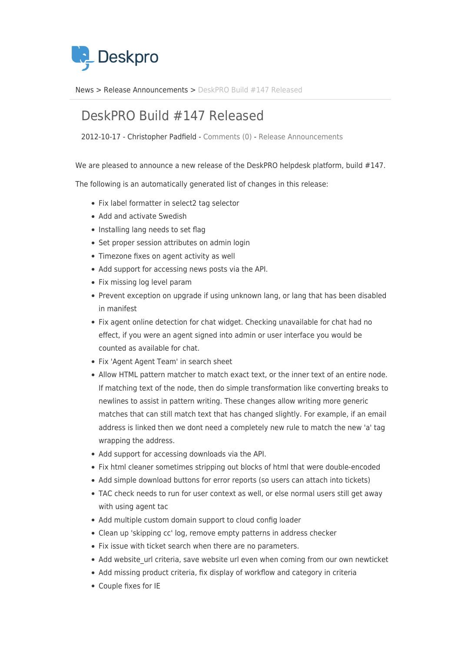

[News](https://support.deskpro.com/sv/news) > [Release Announcements](https://support.deskpro.com/sv/news/release-announcements) > [DeskPRO Build #147 Released](https://support.deskpro.com/sv/news/posts/deskpro-build-147-released)

## DeskPRO Build #147 Released

2012-10-17 - Christopher Padfield - [Comments \(0\)](#page--1-0) - [Release Announcements](https://support.deskpro.com/sv/news/release-announcements)

We are pleased to announce a new release of the DeskPRO helpdesk platform, build #147.

The following is an automatically generated list of changes in this release:

- Fix label formatter in select2 tag selector
- Add and activate Swedish
- Installing lang needs to set flag
- Set proper session attributes on admin login
- Timezone fixes on agent activity as well
- Add support for accessing news posts via the API.
- Fix missing log level param
- Prevent exception on upgrade if using unknown lang, or lang that has been disabled in manifest
- Fix agent online detection for chat widget. Checking unavailable for chat had no effect, if you were an agent signed into admin or user interface you would be counted as available for chat.
- Fix 'Agent Agent Team' in search sheet
- Allow HTML pattern matcher to match exact text, or the inner text of an entire node. If matching text of the node, then do simple transformation like converting breaks to newlines to assist in pattern writing. These changes allow writing more generic matches that can still match text that has changed slightly. For example, if an email address is linked then we dont need a completely new rule to match the new 'a' tag wrapping the address.
- Add support for accessing downloads via the API.
- Fix html cleaner sometimes stripping out blocks of html that were double-encoded
- Add simple download buttons for error reports (so users can attach into tickets)
- TAC check needs to run for user context as well, or else normal users still get away with using agent tac
- Add multiple custom domain support to cloud config loader
- Clean up 'skipping cc' log, remove empty patterns in address checker
- Fix issue with ticket search when there are no parameters.
- Add website url criteria, save website url even when coming from our own newticket
- Add missing product criteria, fix display of workflow and category in criteria
- Couple fixes for IE